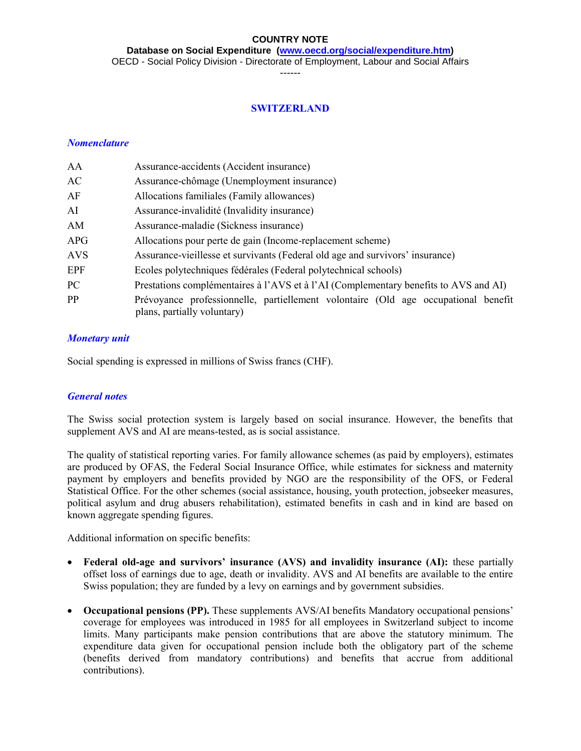**Database on Social Expenditure [\(www.oecd.org/social/expenditure.htm\)](http://www.oecd.org/social/expenditure.htm)**

OECD - Social Policy Division - Directorate of Employment, Labour and Social Affairs

------

#### **SWITZERLAND**

#### *Nomenclature*

| AA         | Assurance-accidents (Accident insurance)                                                                          |  |  |  |  |  |  |
|------------|-------------------------------------------------------------------------------------------------------------------|--|--|--|--|--|--|
| AC         | Assurance-chômage (Unemployment insurance)                                                                        |  |  |  |  |  |  |
| AF         | Allocations familiales (Family allowances)                                                                        |  |  |  |  |  |  |
| AI         | Assurance-invalidité (Invalidity insurance)                                                                       |  |  |  |  |  |  |
| AM         | Assurance-maladie (Sickness insurance)                                                                            |  |  |  |  |  |  |
| APG        | Allocations pour perte de gain (Income-replacement scheme)                                                        |  |  |  |  |  |  |
| <b>AVS</b> | Assurance-vieillesse et survivants (Federal old age and survivors' insurance)                                     |  |  |  |  |  |  |
| EPF        | Ecoles polytechniques fédérales (Federal polytechnical schools)                                                   |  |  |  |  |  |  |
| PC         | Prestations complémentaires à l'AVS et à l'AI (Complementary benefits to AVS and AI)                              |  |  |  |  |  |  |
| PP         | Prévoyance professionnelle, partiellement volontaire (Old age occupational benefit<br>plans, partially voluntary) |  |  |  |  |  |  |

#### *Monetary unit*

Social spending is expressed in millions of Swiss francs (CHF).

#### *General notes*

The Swiss social protection system is largely based on social insurance. However, the benefits that supplement AVS and AI are means-tested, as is social assistance.

The quality of statistical reporting varies. For family allowance schemes (as paid by employers), estimates are produced by OFAS, the Federal Social Insurance Office, while estimates for sickness and maternity payment by employers and benefits provided by NGO are the responsibility of the OFS, or Federal Statistical Office. For the other schemes (social assistance, housing, youth protection, jobseeker measures, political asylum and drug abusers rehabilitation), estimated benefits in cash and in kind are based on known aggregate spending figures.

Additional information on specific benefits:

- **Federal old-age and survivors' insurance (AVS) and invalidity insurance (AI):** these partially offset loss of earnings due to age, death or invalidity. AVS and AI benefits are available to the entire Swiss population; they are funded by a levy on earnings and by government subsidies.
- **Occupational pensions (PP).** These supplements AVS/AI benefits Mandatory occupational pensions' coverage for employees was introduced in 1985 for all employees in Switzerland subject to income limits. Many participants make pension contributions that are above the statutory minimum. The expenditure data given for occupational pension include both the obligatory part of the scheme (benefits derived from mandatory contributions) and benefits that accrue from additional contributions).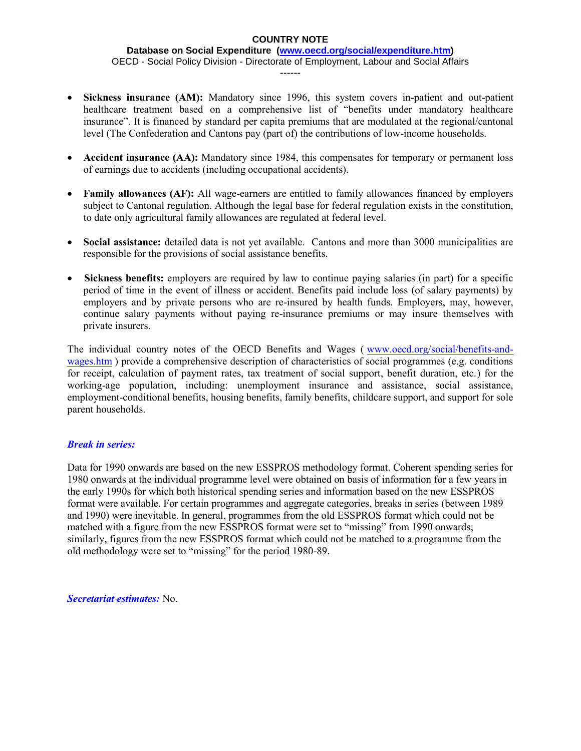#### **Database on Social Expenditure [\(www.oecd.org/social/expenditure.htm\)](http://www.oecd.org/social/expenditure.htm)** OECD - Social Policy Division - Directorate of Employment, Labour and Social Affairs ------

- **Sickness insurance (AM):** Mandatory since 1996, this system covers in-patient and out-patient healthcare treatment based on a comprehensive list of "benefits under mandatory healthcare insurance". It is financed by standard per capita premiums that are modulated at the regional/cantonal level (The Confederation and Cantons pay (part of) the contributions of low-income households.
- **Accident insurance (AA):** Mandatory since 1984, this compensates for temporary or permanent loss of earnings due to accidents (including occupational accidents).
- Family allowances (AF): All wage-earners are entitled to family allowances financed by employers subject to Cantonal regulation. Although the legal base for federal regulation exists in the constitution, to date only agricultural family allowances are regulated at federal level.
- **Social assistance:** detailed data is not yet available. Cantons and more than 3000 municipalities are responsible for the provisions of social assistance benefits.
- **Sickness benefits:** employers are required by law to continue paying salaries (in part) for a specific period of time in the event of illness or accident. Benefits paid include loss (of salary payments) by employers and by private persons who are re-insured by health funds. Employers, may, however, continue salary payments without paying re-insurance premiums or may insure themselves with private insurers.

The individual country notes of the OECD Benefits and Wages ([www.oecd.org/social/benefits-and](http://www.oecd.org/social/benefits-and-wages.htm)[wages.htm](http://www.oecd.org/social/benefits-and-wages.htm) ) provide a comprehensive description of characteristics of social programmes (e.g. conditions for receipt, calculation of payment rates, tax treatment of social support, benefit duration, etc.) for the working-age population, including: unemployment insurance and assistance, social assistance, employment-conditional benefits, housing benefits, family benefits, childcare support, and support for sole parent households.

### *Break in series:*

Data for 1990 onwards are based on the new ESSPROS methodology format. Coherent spending series for 1980 onwards at the individual programme level were obtained on basis of information for a few years in the early 1990s for which both historical spending series and information based on the new ESSPROS format were available. For certain programmes and aggregate categories, breaks in series (between 1989 and 1990) were inevitable. In general, programmes from the old ESSPROS format which could not be matched with a figure from the new ESSPROS format were set to "missing" from 1990 onwards; similarly, figures from the new ESSPROS format which could not be matched to a programme from the old methodology were set to "missing" for the period 1980-89.

*Secretariat estimates:* No.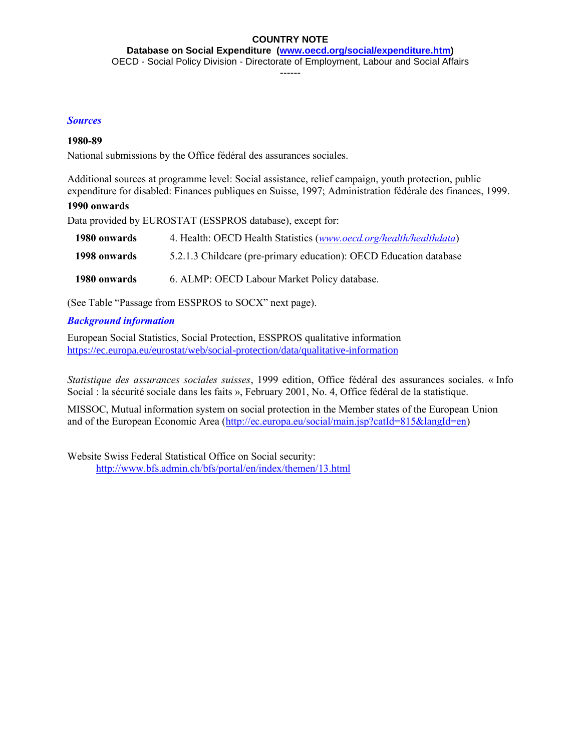**Database on Social Expenditure [\(www.oecd.org/social/expenditure.htm\)](http://www.oecd.org/social/expenditure.htm)** OECD - Social Policy Division - Directorate of Employment, Labour and Social Affairs

------

#### *Sources*

#### **1980-89**

National submissions by the Office fédéral des assurances sociales.

Additional sources at programme level: Social assistance, relief campaign, youth protection, public expenditure for disabled: Finances publiques en Suisse, 1997; Administration fédérale des finances, 1999.

#### **1990 onwards**

Data provided by EUROSTAT (ESSPROS database), except for:

| 1980 onwards | 4. Health: OECD Health Statistics (www.oecd.org/health/healthdata) |
|--------------|--------------------------------------------------------------------|
| 1998 onwards | 5.2.1.3 Childcare (pre-primary education): OECD Education database |
| 1980 onwards | 6. ALMP: OECD Labour Market Policy database.                       |

(See Table "Passage from ESSPROS to SOCX" next page).

#### *Background information*

European Social Statistics, Social Protection, ESSPROS qualitative information <https://ec.europa.eu/eurostat/web/social-protection/data/qualitative-information>

*Statistique des assurances sociales suisses*, 1999 edition, Office fédéral des assurances sociales. « Info Social : la sécurité sociale dans les faits », February 2001, No. 4, Office fédéral de la statistique.

MISSOC, Mutual information system on social protection in the Member states of the European Union and of the European Economic Area [\(http://ec.europa.eu/social/main.jsp?catId=815&langId=en\)](http://ec.europa.eu/social/main.jsp?catId=815&langId=en)

Website Swiss Federal Statistical Office on Social security: <http://www.bfs.admin.ch/bfs/portal/en/index/themen/13.html>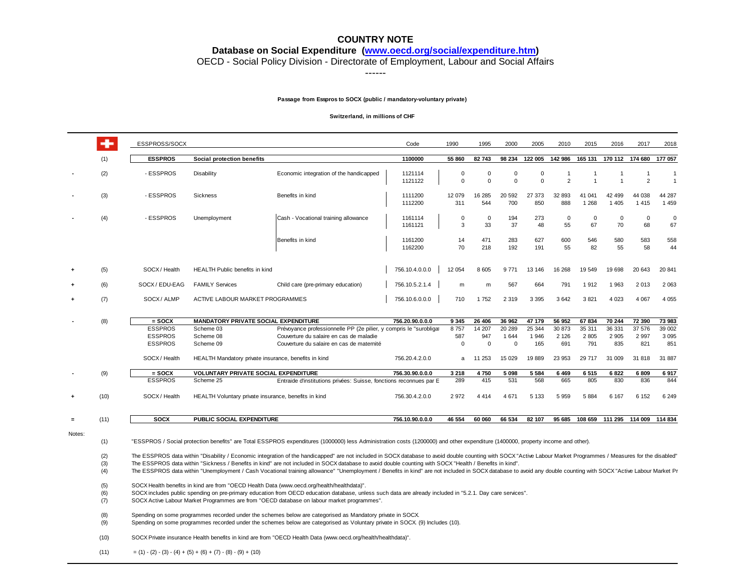**Database on Social Expenditure [\(www.oecd.org/social/expenditure.htm\)](http://www.oecd.org/social/expenditure.htm)**

OECD - Social Policy Division - Directorate of Employment, Labour and Social Affairs

------

#### **Passage from Esspros to SOCX (public / mandatory-voluntary private)**

#### **Switzerland, in millions of CHF**

|                      |                                               | ESSPROSS/SOCX                                                                                                                                                                                                                                                                                                                                                                                                                                                                                                                                                                                                                                                                                                                                                                                                                                                                                                                                                                                                                                                                                                                                |                                                      |                                                                    | Code               | 1990                 | 1995                   | 2000                 | 2005          | 2010                | 2015                          | 2016                 | 2017                    | 2018              |
|----------------------|-----------------------------------------------|----------------------------------------------------------------------------------------------------------------------------------------------------------------------------------------------------------------------------------------------------------------------------------------------------------------------------------------------------------------------------------------------------------------------------------------------------------------------------------------------------------------------------------------------------------------------------------------------------------------------------------------------------------------------------------------------------------------------------------------------------------------------------------------------------------------------------------------------------------------------------------------------------------------------------------------------------------------------------------------------------------------------------------------------------------------------------------------------------------------------------------------------|------------------------------------------------------|--------------------------------------------------------------------|--------------------|----------------------|------------------------|----------------------|---------------|---------------------|-------------------------------|----------------------|-------------------------|-------------------|
|                      | (1)                                           | <b>ESSPROS</b>                                                                                                                                                                                                                                                                                                                                                                                                                                                                                                                                                                                                                                                                                                                                                                                                                                                                                                                                                                                                                                                                                                                               | Social protection benefits                           |                                                                    | 1100000            | 55 860               | 82 743                 | 98 234               | 122 005       | 142 986             | 165 131                       |                      | 170 112 174 680         | 177 057           |
|                      | (2)                                           | - ESSPROS                                                                                                                                                                                                                                                                                                                                                                                                                                                                                                                                                                                                                                                                                                                                                                                                                                                                                                                                                                                                                                                                                                                                    | Disability                                           | Economic integration of the handicapped                            | 1121114<br>1121122 | $\Omega$<br>$\Omega$ | $^{\circ}$<br>$\Omega$ | $\Omega$<br>$\Omega$ | 0<br>$\Omega$ | 1<br>$\overline{2}$ | $\mathbf 1$<br>$\overline{1}$ | -1<br>$\overline{1}$ | 1<br>2                  | $\overline{1}$    |
|                      | (3)                                           | - ESSPROS                                                                                                                                                                                                                                                                                                                                                                                                                                                                                                                                                                                                                                                                                                                                                                                                                                                                                                                                                                                                                                                                                                                                    | Sickness                                             | Benefits in kind                                                   | 1111200<br>1112200 | 12 079<br>311        | 16 285<br>544          | 20 592<br>700        | 27 373<br>850 | 32 893<br>888       | 41 041<br>1 2 6 8             | 42 499<br>1 4 0 5    | 44 038<br>1415          | 44 287<br>1459    |
|                      | (4)                                           | - ESSPROS                                                                                                                                                                                                                                                                                                                                                                                                                                                                                                                                                                                                                                                                                                                                                                                                                                                                                                                                                                                                                                                                                                                                    | Unemployment                                         | Cash - Vocational training allowance                               | 1161114<br>1161121 | $\mathbf 0$<br>3     | $\mathbf 0$<br>33      | 194<br>37            | 273<br>48     | $\mathbf 0$<br>55   | 0<br>67                       | $\mathbf 0$<br>70    | $\overline{0}$<br>68    | $\mathbf 0$<br>67 |
|                      |                                               |                                                                                                                                                                                                                                                                                                                                                                                                                                                                                                                                                                                                                                                                                                                                                                                                                                                                                                                                                                                                                                                                                                                                              |                                                      | Benefits in kind                                                   | 1161200<br>1162200 | 14<br>70             | 471<br>218             | 283<br>192           | 627<br>191    | 600<br>55           | 546<br>82                     | 580<br>55            | 583<br>58               | 558<br>44         |
| $\ddot{\phantom{1}}$ | (5)                                           | SOCX / Health                                                                                                                                                                                                                                                                                                                                                                                                                                                                                                                                                                                                                                                                                                                                                                                                                                                                                                                                                                                                                                                                                                                                | <b>HEALTH Public benefits in kind</b>                |                                                                    | 756.10.4.0.0.0     | 12 054               | 8 6 0 5                | 9771                 | 13 146        | 16 268              | 19 549                        | 19 698               | 20 643                  | 20 841            |
| $\ddot{\phantom{1}}$ | (6)                                           | SOCX/EDU-EAG                                                                                                                                                                                                                                                                                                                                                                                                                                                                                                                                                                                                                                                                                                                                                                                                                                                                                                                                                                                                                                                                                                                                 | <b>FAMILY Services</b>                               | Child care (pre-primary education)                                 | 756.10.5.2.1.4     | m                    | m                      | 567                  | 664           | 791                 | 1912                          | 1963                 | 2013                    | 2 0 6 3           |
| $\ddot{}$            | (7)                                           | SOCX/ALMP                                                                                                                                                                                                                                                                                                                                                                                                                                                                                                                                                                                                                                                                                                                                                                                                                                                                                                                                                                                                                                                                                                                                    | ACTIVE LABOUR MARKET PROGRAMMES                      |                                                                    | 756.10.6.0.0.0     | 710                  | 1752                   | 2 3 1 9              | 3 3 9 5       | 3642                | 3 8 21                        | 4 0 23               | 4 0 6 7                 | 4 0 5 5           |
|                      | (8)                                           | $=$ SOCX                                                                                                                                                                                                                                                                                                                                                                                                                                                                                                                                                                                                                                                                                                                                                                                                                                                                                                                                                                                                                                                                                                                                     | MANDATORY PRIVATE SOCIAL EXPENDITURE                 |                                                                    | 756.20.90.0.0.0    | 9 3 4 5              | 26 40 6                | 36 962               | 47 179        | 56 952              | 67 834                        | 70 244               | 72 390                  | 73 983            |
|                      |                                               | <b>ESSPROS</b>                                                                                                                                                                                                                                                                                                                                                                                                                                                                                                                                                                                                                                                                                                                                                                                                                                                                                                                                                                                                                                                                                                                               | Scheme 03                                            | Prévoyance professionnelle PP (2e pilier, y compris le "surobliga" |                    | 8757                 | 14 207                 | 20 289               | 25 344        | 30 873              | 35 311                        | 36 331               | 37 576                  | 39 002            |
|                      |                                               | <b>ESSPROS</b>                                                                                                                                                                                                                                                                                                                                                                                                                                                                                                                                                                                                                                                                                                                                                                                                                                                                                                                                                                                                                                                                                                                               | Scheme 08                                            | Couverture du salaire en cas de maladie                            |                    | 587                  | 947                    | 1 644                | 1 946         | 2 1 2 6             | 2 8 0 5                       | 2 9 0 5              | 2 9 9 7                 | 3 0 9 5           |
|                      |                                               | <b>ESSPROS</b>                                                                                                                                                                                                                                                                                                                                                                                                                                                                                                                                                                                                                                                                                                                                                                                                                                                                                                                                                                                                                                                                                                                               | Scheme 09                                            | Couverture du salaire en cas de maternité                          |                    | $\Omega$             | $^{\circ}$             | $\Omega$             | 165           | 691                 | 791                           | 835                  | 821                     | 851               |
|                      |                                               | SOCX / Health                                                                                                                                                                                                                                                                                                                                                                                                                                                                                                                                                                                                                                                                                                                                                                                                                                                                                                                                                                                                                                                                                                                                | HEALTH Mandatory private insurance, benefits in kind |                                                                    | 756.20.4.2.0.0     | a                    | 11 253                 | 15 0 29              | 19889         | 23 953              | 29 717                        | 31 009               | 31 818                  | 31 887            |
|                      | (9)                                           | $=$ SOCX                                                                                                                                                                                                                                                                                                                                                                                                                                                                                                                                                                                                                                                                                                                                                                                                                                                                                                                                                                                                                                                                                                                                     | <b>VOLUNTARY PRIVATE SOCIAL EXPENDITURE</b>          |                                                                    | 756.30.90.0.0.0    | 3 2 1 8              | 4750                   | 5 0 9 8              | 5 5 8 4       | 6 4 6 9             | 6515                          | 6822                 | 6809                    | 6917              |
|                      |                                               | <b>ESSPROS</b>                                                                                                                                                                                                                                                                                                                                                                                                                                                                                                                                                                                                                                                                                                                                                                                                                                                                                                                                                                                                                                                                                                                               | Scheme 25                                            | Entraide d'institutions privées: Suisse, fonctions reconnues par E |                    | 289                  | 415                    | 531                  | 568           | 665                 | 805                           | 830                  | 836                     | 844               |
| $\ddot{\phantom{1}}$ | (10)                                          | SOCX / Health                                                                                                                                                                                                                                                                                                                                                                                                                                                                                                                                                                                                                                                                                                                                                                                                                                                                                                                                                                                                                                                                                                                                | HEALTH Voluntary private insurance, benefits in kind |                                                                    | 756.30.4.2.0.0     | 2 9 7 2              | 4 4 1 4                | 4 6 7 1              | 5 1 3 3       | 5 9 5 9             | 5 8 8 4                       | 6 1 6 7              | 6 1 5 2                 | 6 2 4 9           |
| $=$                  | (11)                                          | <b>SOCX</b>                                                                                                                                                                                                                                                                                                                                                                                                                                                                                                                                                                                                                                                                                                                                                                                                                                                                                                                                                                                                                                                                                                                                  | PUBLIC SOCIAL EXPENDITURE                            |                                                                    | 756.10.90.0.0.0    | 46 554               | 60 060                 | 66 534               | 82 107        | 95 685              |                               |                      | 108 659 111 295 114 009 | 114 834           |
| Notes:               | (1)<br>(2)<br>(3)<br>(4)<br>(5)<br>(6)<br>(7) | "ESSPROS / Social protection benefits" are Total ESSPROS expenditures (1000000) less Administration costs (1200000) and other expenditure (1400000, property income and other).<br>The ESSPROS data within "Disability / Economic integration of the handicapped" are not included in SOCX database to avoid double counting with SOCX "Active Labour Market Programmes / Measures for the disabled".<br>The ESSPROS data within "Sickness / Benefits in kind" are not included in SOCX database to avoid double counting with SOCX "Health / Benefits in kind".<br>The ESSPROS data within "Unemployment / Cash Vocational training allowance" "Unemployment / Benefits in kind" are not included in SOCX database to avoid any double counting with SOCX "Active Labour Market Pr<br>SOCX Health benefits in kind are from "OECD Health Data (www.oecd.org/health/healthdata)".<br>SOCX includes public spending on pre-primary education from OECD education database, unless such data are already included in "5.2.1. Day care services".<br>SOCX Active Labour Market Programmes are from "OECD database on labour market programmes". |                                                      |                                                                    |                    |                      |                        |                      |               |                     |                               |                      |                         |                   |
|                      | (8)<br>(9)                                    | Spending on some programmes recorded under the schemes below are categorised as Mandatory private in SOCX<br>Spending on some programmes recorded under the schemes below are categorised as Voluntary private in SOCX (9) Includes (10).                                                                                                                                                                                                                                                                                                                                                                                                                                                                                                                                                                                                                                                                                                                                                                                                                                                                                                    |                                                      |                                                                    |                    |                      |                        |                      |               |                     |                               |                      |                         |                   |
|                      | (10)                                          | SOCX Private insurance Health benefits in kind are from "OECD Health Data (www.oecd.org/health/healthdata)".                                                                                                                                                                                                                                                                                                                                                                                                                                                                                                                                                                                                                                                                                                                                                                                                                                                                                                                                                                                                                                 |                                                      |                                                                    |                    |                      |                        |                      |               |                     |                               |                      |                         |                   |

(11)  $=(1)-(2)-(3)-(4)+(5)+(6)+(7)-(8)-(9)+(10)$